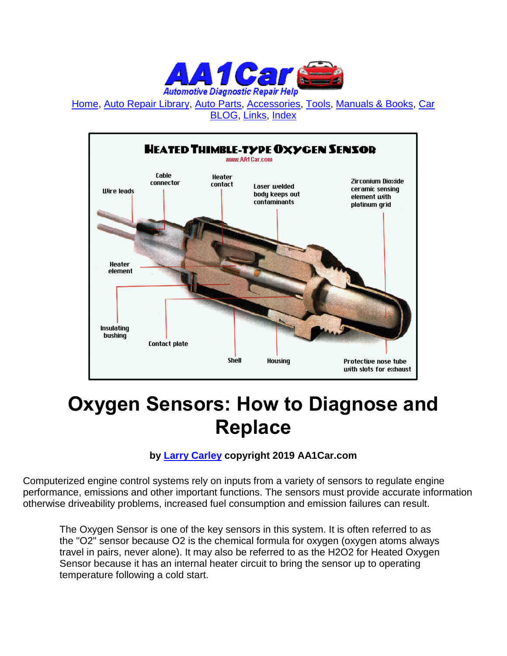

[Home,](http://www.aa1car.com/) [Auto Repair Library,](http://www.aa1car.com/library.htm) [Auto Parts,](http://www.aa1car.com/links_parts.htm) [Accessories,](http://www.aa1car.com/links_accessories.htm) [Tools,](http://www.aa1car.com/links_tools.htm) [Manuals & Books,](http://www.aa1car.com/links_books.htm) [Car](http://www.aa1car.com/blog/blog.htm)  [BLOG,](http://www.aa1car.com/blog/blog.htm) [Links,](http://www.aa1car.com/links.htm) [Index](http://www.aa1car.com/index_alphabetical.htm)



## **Oxygen Sensors: How to Diagnose and Replace**

#### **by [Larry Carley](https://www.aa1car.com/larrypage/larrycarley_photos.htm) copyright 2019 AA1Car.com**

Computerized engine control systems rely on inputs from a variety of sensors to regulate engine performance, emissions and other important functions. The sensors must provide accurate information otherwise driveability problems, increased fuel consumption and emission failures can result.

The Oxygen Sensor is one of the key sensors in this system. It is often referred to as the "O2" sensor because O2 is the chemical formula for oxygen (oxygen atoms always travel in pairs, never alone). It may also be referred to as the H2O2 for Heated Oxygen Sensor because it has an internal heater circuit to bring the sensor up to operating temperature following a cold start.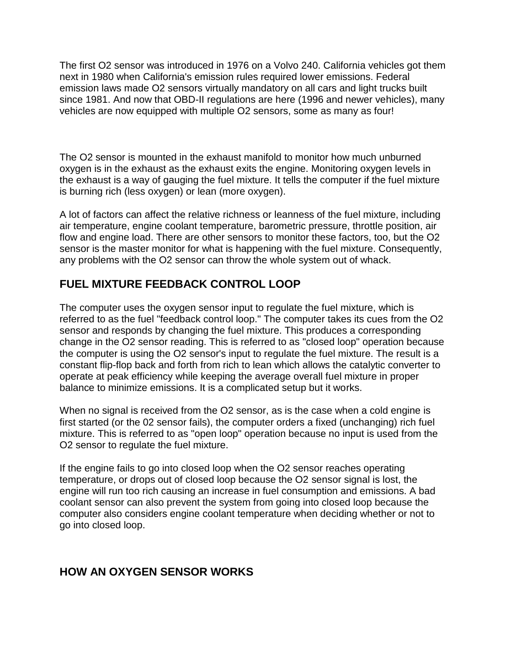The first O2 sensor was introduced in 1976 on a Volvo 240. California vehicles got them next in 1980 when California's emission rules required lower emissions. Federal emission laws made O2 sensors virtually mandatory on all cars and light trucks built since 1981. And now that OBD-II regulations are here (1996 and newer vehicles), many vehicles are now equipped with multiple O2 sensors, some as many as four!

The O2 sensor is mounted in the exhaust manifold to monitor how much unburned oxygen is in the exhaust as the exhaust exits the engine. Monitoring oxygen levels in the exhaust is a way of gauging the fuel mixture. It tells the computer if the fuel mixture is burning rich (less oxygen) or lean (more oxygen).

A lot of factors can affect the relative richness or leanness of the fuel mixture, including air temperature, engine coolant temperature, barometric pressure, throttle position, air flow and engine load. There are other sensors to monitor these factors, too, but the O2 sensor is the master monitor for what is happening with the fuel mixture. Consequently, any problems with the O2 sensor can throw the whole system out of whack.

#### **FUEL MIXTURE FEEDBACK CONTROL LOOP**

The computer uses the oxygen sensor input to regulate the fuel mixture, which is referred to as the fuel "feedback control loop." The computer takes its cues from the O2 sensor and responds by changing the fuel mixture. This produces a corresponding change in the O2 sensor reading. This is referred to as "closed loop" operation because the computer is using the O2 sensor's input to regulate the fuel mixture. The result is a constant flip-flop back and forth from rich to lean which allows the catalytic converter to operate at peak efficiency while keeping the average overall fuel mixture in proper balance to minimize emissions. It is a complicated setup but it works.

When no signal is received from the O2 sensor, as is the case when a cold engine is first started (or the 02 sensor fails), the computer orders a fixed (unchanging) rich fuel mixture. This is referred to as "open loop" operation because no input is used from the O2 sensor to regulate the fuel mixture.

If the engine fails to go into closed loop when the O2 sensor reaches operating temperature, or drops out of closed loop because the O2 sensor signal is lost, the engine will run too rich causing an increase in fuel consumption and emissions. A bad coolant sensor can also prevent the system from going into closed loop because the computer also considers engine coolant temperature when deciding whether or not to go into closed loop.

#### **HOW AN OXYGEN SENSOR WORKS**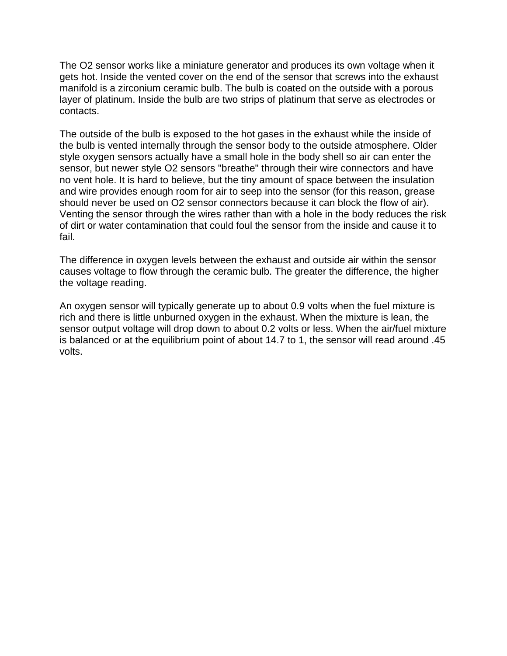The O2 sensor works like a miniature generator and produces its own voltage when it gets hot. Inside the vented cover on the end of the sensor that screws into the exhaust manifold is a zirconium ceramic bulb. The bulb is coated on the outside with a porous layer of platinum. Inside the bulb are two strips of platinum that serve as electrodes or contacts.

The outside of the bulb is exposed to the hot gases in the exhaust while the inside of the bulb is vented internally through the sensor body to the outside atmosphere. Older style oxygen sensors actually have a small hole in the body shell so air can enter the sensor, but newer style O2 sensors "breathe" through their wire connectors and have no vent hole. It is hard to believe, but the tiny amount of space between the insulation and wire provides enough room for air to seep into the sensor (for this reason, grease should never be used on O2 sensor connectors because it can block the flow of air). Venting the sensor through the wires rather than with a hole in the body reduces the risk of dirt or water contamination that could foul the sensor from the inside and cause it to fail.

The difference in oxygen levels between the exhaust and outside air within the sensor causes voltage to flow through the ceramic bulb. The greater the difference, the higher the voltage reading.

An oxygen sensor will typically generate up to about 0.9 volts when the fuel mixture is rich and there is little unburned oxygen in the exhaust. When the mixture is lean, the sensor output voltage will drop down to about 0.2 volts or less. When the air/fuel mixture is balanced or at the equilibrium point of about 14.7 to 1, the sensor will read around .45 volts.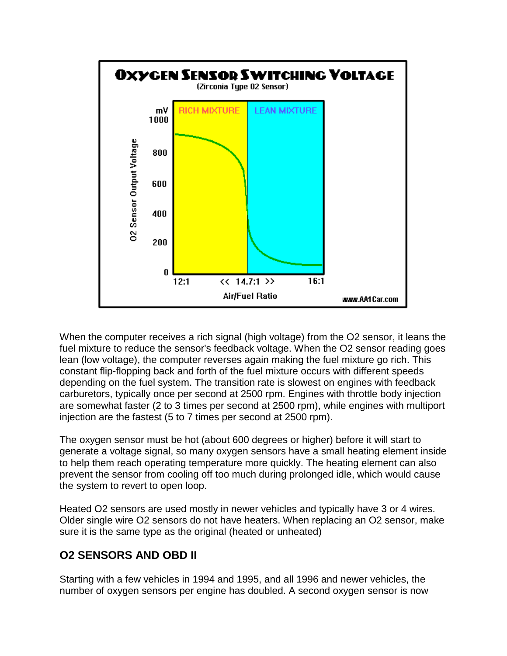

When the computer receives a rich signal (high voltage) from the O2 sensor, it leans the fuel mixture to reduce the sensor's feedback voltage. When the O2 sensor reading goes lean (low voltage), the computer reverses again making the fuel mixture go rich. This constant flip-flopping back and forth of the fuel mixture occurs with different speeds depending on the fuel system. The transition rate is slowest on engines with feedback carburetors, typically once per second at 2500 rpm. Engines with throttle body injection are somewhat faster (2 to 3 times per second at 2500 rpm), while engines with multiport injection are the fastest (5 to 7 times per second at 2500 rpm).

The oxygen sensor must be hot (about 600 degrees or higher) before it will start to generate a voltage signal, so many oxygen sensors have a small heating element inside to help them reach operating temperature more quickly. The heating element can also prevent the sensor from cooling off too much during prolonged idle, which would cause the system to revert to open loop.

Heated O2 sensors are used mostly in newer vehicles and typically have 3 or 4 wires. Older single wire O2 sensors do not have heaters. When replacing an O2 sensor, make sure it is the same type as the original (heated or unheated)

#### **O2 SENSORS AND OBD II**

Starting with a few vehicles in 1994 and 1995, and all 1996 and newer vehicles, the number of oxygen sensors per engine has doubled. A second oxygen sensor is now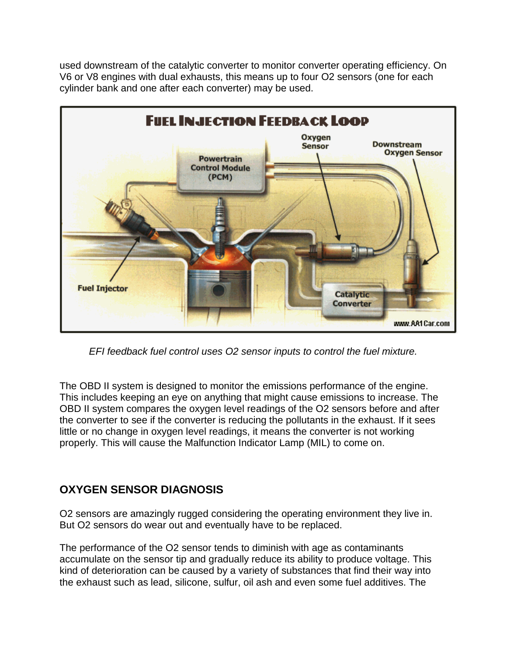used downstream of the catalytic converter to monitor converter operating efficiency. On V6 or V8 engines with dual exhausts, this means up to four O2 sensors (one for each cylinder bank and one after each converter) may be used.



*EFI feedback fuel control uses O2 sensor inputs to control the fuel mixture.*

The OBD II system is designed to monitor the emissions performance of the engine. This includes keeping an eye on anything that might cause emissions to increase. The OBD II system compares the oxygen level readings of the O2 sensors before and after the converter to see if the converter is reducing the pollutants in the exhaust. If it sees little or no change in oxygen level readings, it means the converter is not working properly. This will cause the Malfunction Indicator Lamp (MIL) to come on.

#### **OXYGEN SENSOR DIAGNOSIS**

O2 sensors are amazingly rugged considering the operating environment they live in. But O2 sensors do wear out and eventually have to be replaced.

The performance of the O2 sensor tends to diminish with age as contaminants accumulate on the sensor tip and gradually reduce its ability to produce voltage. This kind of deterioration can be caused by a variety of substances that find their way into the exhaust such as lead, silicone, sulfur, oil ash and even some fuel additives. The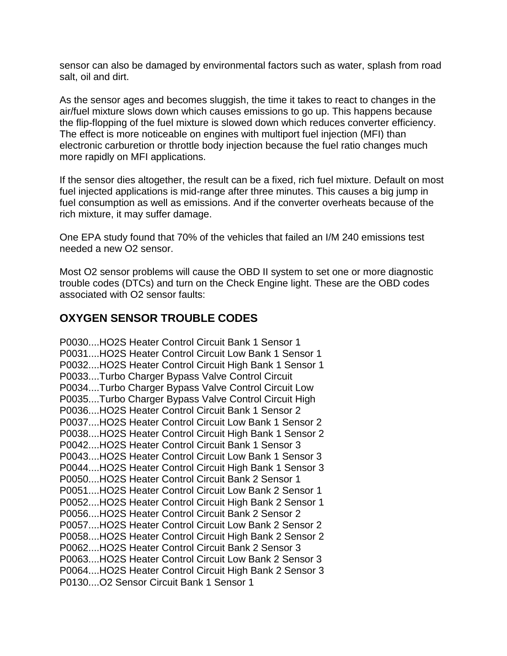sensor can also be damaged by environmental factors such as water, splash from road salt, oil and dirt.

As the sensor ages and becomes sluggish, the time it takes to react to changes in the air/fuel mixture slows down which causes emissions to go up. This happens because the flip-flopping of the fuel mixture is slowed down which reduces converter efficiency. The effect is more noticeable on engines with multiport fuel injection (MFI) than electronic carburetion or throttle body injection because the fuel ratio changes much more rapidly on MFI applications.

If the sensor dies altogether, the result can be a fixed, rich fuel mixture. Default on most fuel injected applications is mid-range after three minutes. This causes a big jump in fuel consumption as well as emissions. And if the converter overheats because of the rich mixture, it may suffer damage.

One EPA study found that 70% of the vehicles that failed an I/M 240 emissions test needed a new O2 sensor.

Most O2 sensor problems will cause the OBD II system to set one or more diagnostic trouble codes (DTCs) and turn on the Check Engine light. These are the OBD codes associated with O2 sensor faults:

#### **OXYGEN SENSOR TROUBLE CODES**

P0030....HO2S Heater Control Circuit Bank 1 Sensor 1 P0031....HO2S Heater Control Circuit Low Bank 1 Sensor 1 P0032....HO2S Heater Control Circuit High Bank 1 Sensor 1 P0033....Turbo Charger Bypass Valve Control Circuit P0034....Turbo Charger Bypass Valve Control Circuit Low P0035....Turbo Charger Bypass Valve Control Circuit High P0036....HO2S Heater Control Circuit Bank 1 Sensor 2 P0037....HO2S Heater Control Circuit Low Bank 1 Sensor 2 P0038....HO2S Heater Control Circuit High Bank 1 Sensor 2 P0042....HO2S Heater Control Circuit Bank 1 Sensor 3 P0043....HO2S Heater Control Circuit Low Bank 1 Sensor 3 P0044....HO2S Heater Control Circuit High Bank 1 Sensor 3 P0050....HO2S Heater Control Circuit Bank 2 Sensor 1 P0051....HO2S Heater Control Circuit Low Bank 2 Sensor 1 P0052....HO2S Heater Control Circuit High Bank 2 Sensor 1 P0056....HO2S Heater Control Circuit Bank 2 Sensor 2 P0057....HO2S Heater Control Circuit Low Bank 2 Sensor 2 P0058....HO2S Heater Control Circuit High Bank 2 Sensor 2 P0062....HO2S Heater Control Circuit Bank 2 Sensor 3 P0063....HO2S Heater Control Circuit Low Bank 2 Sensor 3 P0064....HO2S Heater Control Circuit High Bank 2 Sensor 3 P0130....O2 Sensor Circuit Bank 1 Sensor 1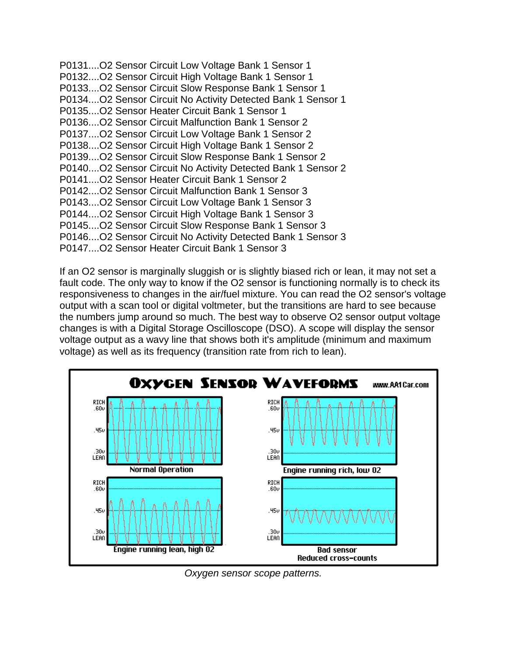P0131....O2 Sensor Circuit Low Voltage Bank 1 Sensor 1 P0132....O2 Sensor Circuit High Voltage Bank 1 Sensor 1 P0133....O2 Sensor Circuit Slow Response Bank 1 Sensor 1 P0134....O2 Sensor Circuit No Activity Detected Bank 1 Sensor 1 P0135....O2 Sensor Heater Circuit Bank 1 Sensor 1 P0136....O2 Sensor Circuit Malfunction Bank 1 Sensor 2 P0137....O2 Sensor Circuit Low Voltage Bank 1 Sensor 2 P0138....O2 Sensor Circuit High Voltage Bank 1 Sensor 2 P0139....O2 Sensor Circuit Slow Response Bank 1 Sensor 2 P0140....O2 Sensor Circuit No Activity Detected Bank 1 Sensor 2 P0141....O2 Sensor Heater Circuit Bank 1 Sensor 2 P0142....O2 Sensor Circuit Malfunction Bank 1 Sensor 3 P0143....O2 Sensor Circuit Low Voltage Bank 1 Sensor 3 P0144....O2 Sensor Circuit High Voltage Bank 1 Sensor 3 P0145....O2 Sensor Circuit Slow Response Bank 1 Sensor 3 P0146....O2 Sensor Circuit No Activity Detected Bank 1 Sensor 3 P0147....O2 Sensor Heater Circuit Bank 1 Sensor 3

If an O2 sensor is marginally sluggish or is slightly biased rich or lean, it may not set a fault code. The only way to know if the O2 sensor is functioning normally is to check its responsiveness to changes in the air/fuel mixture. You can read the O2 sensor's voltage output with a scan tool or digital voltmeter, but the transitions are hard to see because the numbers jump around so much. The best way to observe O2 sensor output voltage changes is with a Digital Storage Oscilloscope (DSO). A scope will display the sensor voltage output as a wavy line that shows both it's amplitude (minimum and maximum voltage) as well as its frequency (transition rate from rich to lean).



*Oxygen sensor scope patterns.*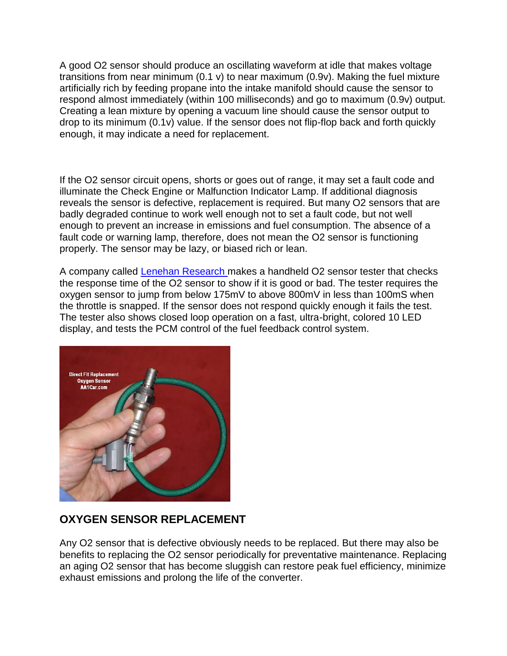A good O2 sensor should produce an oscillating waveform at idle that makes voltage transitions from near minimum (0.1 v) to near maximum (0.9v). Making the fuel mixture artificially rich by feeding propane into the intake manifold should cause the sensor to respond almost immediately (within 100 milliseconds) and go to maximum (0.9v) output. Creating a lean mixture by opening a vacuum line should cause the sensor output to drop to its minimum (0.1v) value. If the sensor does not flip-flop back and forth quickly enough, it may indicate a need for replacement.

If the O2 sensor circuit opens, shorts or goes out of range, it may set a fault code and illuminate the Check Engine or Malfunction Indicator Lamp. If additional diagnosis reveals the sensor is defective, replacement is required. But many O2 sensors that are badly degraded continue to work well enough not to set a fault code, but not well enough to prevent an increase in emissions and fuel consumption. The absence of a fault code or warning lamp, therefore, does not mean the O2 sensor is functioning properly. The sensor may be lazy, or biased rich or lean.

A company called [Lenehan Research m](http://www.lenehanresearch.com/)akes a handheld O2 sensor tester that checks the response time of the O2 sensor to show if it is good or bad. The tester requires the oxygen sensor to jump from below 175mV to above 800mV in less than 100mS when the throttle is snapped. If the sensor does not respond quickly enough it fails the test. The tester also shows closed loop operation on a fast, ultra-bright, colored 10 LED display, and tests the PCM control of the fuel feedback control system.



#### **OXYGEN SENSOR REPLACEMENT**

Any O2 sensor that is defective obviously needs to be replaced. But there may also be benefits to replacing the O2 sensor periodically for preventative maintenance. Replacing an aging O2 sensor that has become sluggish can restore peak fuel efficiency, minimize exhaust emissions and prolong the life of the converter.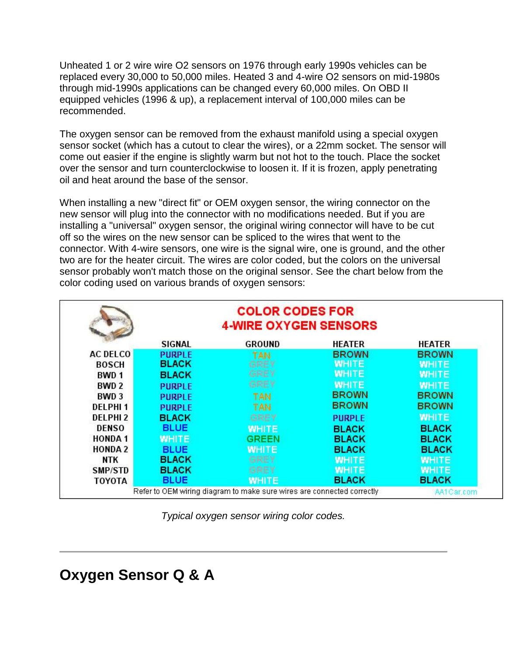Unheated 1 or 2 wire wire O2 sensors on 1976 through early 1990s vehicles can be replaced every 30,000 to 50,000 miles. Heated 3 and 4-wire O2 sensors on mid-1980s through mid-1990s applications can be changed every 60,000 miles. On OBD II equipped vehicles (1996 & up), a replacement interval of 100,000 miles can be recommended.

The oxygen sensor can be removed from the exhaust manifold using a special oxygen sensor socket (which has a cutout to clear the wires), or a 22mm socket. The sensor will come out easier if the engine is slightly warm but not hot to the touch. Place the socket over the sensor and turn counterclockwise to loosen it. If it is frozen, apply penetrating oil and heat around the base of the sensor.

When installing a new "direct fit" or OEM oxygen sensor, the wiring connector on the new sensor will plug into the connector with no modifications needed. But if you are installing a "universal" oxygen sensor, the original wiring connector will have to be cut off so the wires on the new sensor can be spliced to the wires that went to the connector. With 4-wire sensors, one wire is the signal wire, one is ground, and the other two are for the heater circuit. The wires are color coded, but the colors on the universal sensor probably won't match those on the original sensor. See the chart below from the color coding used on various brands of oxygen sensors:

|                                                                        | <b>COLOR CODES FOR</b><br><b>4-WIRE OXYGEN SENSORS</b> |               |               |               |
|------------------------------------------------------------------------|--------------------------------------------------------|---------------|---------------|---------------|
|                                                                        | <b>SIGNAL</b>                                          | <b>GROUND</b> | HEATER        | <b>HEATER</b> |
| <b>AC DELCO</b>                                                        | <b>PURPLE</b>                                          | TAN           | <b>BROWN</b>  | <b>BROWN</b>  |
| <b>BOSCH</b>                                                           | <b>BLACK</b>                                           | GREY          | <b>WHITE</b>  | <b>WHITE</b>  |
| BWD 1                                                                  | <b>BLACK</b>                                           | GREY          | <b>WHITE</b>  | <b>WHITE</b>  |
| BWD <sub>2</sub>                                                       | <b>PURPLE</b>                                          | GREY          | <b>WHITE</b>  | <b>WHITE</b>  |
| BWD <sub>3</sub>                                                       | <b>PURPLE</b>                                          | <b>TAN</b>    | <b>BROWN</b>  | <b>BROWN</b>  |
| <b>DELPHI1</b>                                                         | <b>PURPLE</b>                                          | <b>TAN</b>    | <b>BROWN</b>  | <b>BROWN</b>  |
| DELPHI <sub>2</sub>                                                    | <b>BLACK</b>                                           | GREY          | <b>PURPLE</b> | <b>WHITE</b>  |
| <b>DENSO</b>                                                           | <b>BLUE</b>                                            | <b>WHITE</b>  | <b>BLACK</b>  | <b>BLACK</b>  |
| <b>HONDA1</b>                                                          | <b>WHITE</b>                                           | <b>GREEN</b>  | <b>BLACK</b>  | <b>BLACK</b>  |
| <b>HONDA 2</b>                                                         | <b>BLUE</b>                                            | <b>WHITE</b>  | <b>BLACK</b>  | <b>BLACK</b>  |
| <b>NTK</b>                                                             | <b>BLACK</b>                                           | <b>GREY</b>   | <b>WHITE</b>  | <b>WHITE</b>  |
| SMP/STD                                                                | <b>BLACK</b>                                           | <b>GREY</b>   | <b>WHITE</b>  | <b>WHITE</b>  |
| TOYOTA                                                                 | <b>BLUE</b>                                            | <b>WHITE</b>  | <b>BLACK</b>  | <b>BLACK</b>  |
| Refer to OEM wiring diagram to make sure wires are connected correctly |                                                        |               | AA1Car.com    |               |

*Typical oxygen sensor wiring color codes.*

### **Oxygen Sensor Q & A**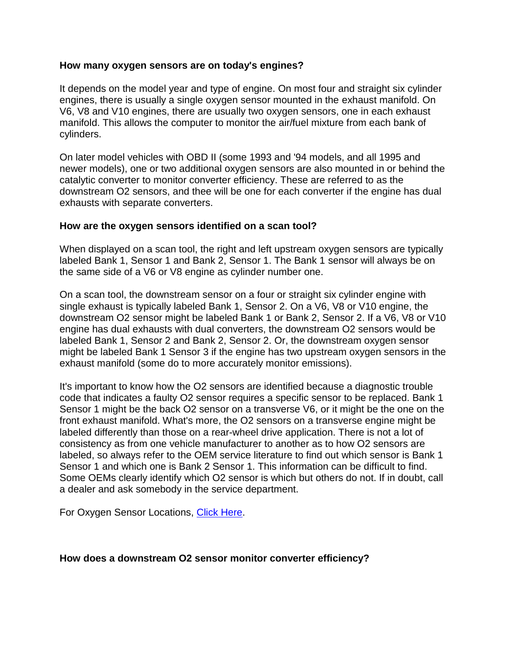#### **How many oxygen sensors are on today's engines?**

It depends on the model year and type of engine. On most four and straight six cylinder engines, there is usually a single oxygen sensor mounted in the exhaust manifold. On V6, V8 and V10 engines, there are usually two oxygen sensors, one in each exhaust manifold. This allows the computer to monitor the air/fuel mixture from each bank of cylinders.

On later model vehicles with OBD II (some 1993 and '94 models, and all 1995 and newer models), one or two additional oxygen sensors are also mounted in or behind the catalytic converter to monitor converter efficiency. These are referred to as the downstream O2 sensors, and thee will be one for each converter if the engine has dual exhausts with separate converters.

#### **How are the oxygen sensors identified on a scan tool?**

When displayed on a scan tool, the right and left upstream oxygen sensors are typically labeled Bank 1, Sensor 1 and Bank 2, Sensor 1. The Bank 1 sensor will always be on the same side of a V6 or V8 engine as cylinder number one.

On a scan tool, the downstream sensor on a four or straight six cylinder engine with single exhaust is typically labeled Bank 1, Sensor 2. On a V6, V8 or V10 engine, the downstream O2 sensor might be labeled Bank 1 or Bank 2, Sensor 2. If a V6, V8 or V10 engine has dual exhausts with dual converters, the downstream O2 sensors would be labeled Bank 1, Sensor 2 and Bank 2, Sensor 2. Or, the downstream oxygen sensor might be labeled Bank 1 Sensor 3 if the engine has two upstream oxygen sensors in the exhaust manifold (some do to more accurately monitor emissions).

It's important to know how the O2 sensors are identified because a diagnostic trouble code that indicates a faulty O2 sensor requires a specific sensor to be replaced. Bank 1 Sensor 1 might be the back O2 sensor on a transverse V6, or it might be the one on the front exhaust manifold. What's more, the O2 sensors on a transverse engine might be labeled differently than those on a rear-wheel drive application. There is not a lot of consistency as from one vehicle manufacturer to another as to how O2 sensors are labeled, so always refer to the OEM service literature to find out which sensor is Bank 1 Sensor 1 and which one is Bank 2 Sensor 1. This information can be difficult to find. Some OEMs clearly identify which O2 sensor is which but others do not. If in doubt, call a dealer and ask somebody in the service department.

For Oxygen Sensor Locations, [Click Here.](http://www.aa1car.com/library/oxygen_sensor_locations.htm)

#### **How does a downstream O2 sensor monitor converter efficiency?**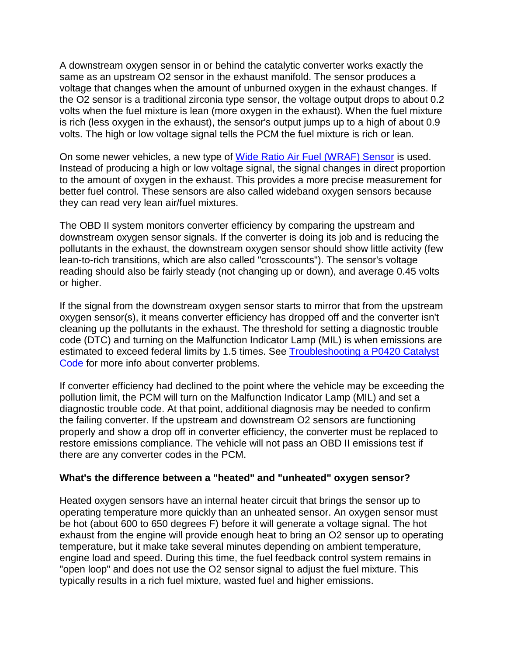A downstream oxygen sensor in or behind the catalytic converter works exactly the same as an upstream O2 sensor in the exhaust manifold. The sensor produces a voltage that changes when the amount of unburned oxygen in the exhaust changes. If the O2 sensor is a traditional zirconia type sensor, the voltage output drops to about 0.2 volts when the fuel mixture is lean (more oxygen in the exhaust). When the fuel mixture is rich (less oxygen in the exhaust), the sensor's output jumps up to a high of about 0.9 volts. The high or low voltage signal tells the PCM the fuel mixture is rich or lean.

On some newer vehicles, a new type of [Wide Ratio Air Fuel \(WRAF\) Sensor](http://www.aa1car.com/library/wraf.htm) is used. Instead of producing a high or low voltage signal, the signal changes in direct proportion to the amount of oxygen in the exhaust. This provides a more precise measurement for better fuel control. These sensors are also called wideband oxygen sensors because they can read very lean air/fuel mixtures.

The OBD II system monitors converter efficiency by comparing the upstream and downstream oxygen sensor signals. If the converter is doing its job and is reducing the pollutants in the exhaust, the downstream oxygen sensor should show little activity (few lean-to-rich transitions, which are also called "crosscounts"). The sensor's voltage reading should also be fairly steady (not changing up or down), and average 0.45 volts or higher.

If the signal from the downstream oxygen sensor starts to mirror that from the upstream oxygen sensor(s), it means converter efficiency has dropped off and the converter isn't cleaning up the pollutants in the exhaust. The threshold for setting a diagnostic trouble code (DTC) and turning on the Malfunction Indicator Lamp (MIL) is when emissions are estimated to exceed federal limits by 1.5 times. See [Troubleshooting a P0420 Catalyst](http://www.aa1car.com/library/p0420_dtc.htm)  [Code](http://www.aa1car.com/library/p0420_dtc.htm) for more info about converter problems.

If converter efficiency had declined to the point where the vehicle may be exceeding the pollution limit, the PCM will turn on the Malfunction Indicator Lamp (MIL) and set a diagnostic trouble code. At that point, additional diagnosis may be needed to confirm the failing converter. If the upstream and downstream O2 sensors are functioning properly and show a drop off in converter efficiency, the converter must be replaced to restore emissions compliance. The vehicle will not pass an OBD II emissions test if there are any converter codes in the PCM.

#### **What's the difference between a "heated" and "unheated" oxygen sensor?**

Heated oxygen sensors have an internal heater circuit that brings the sensor up to operating temperature more quickly than an unheated sensor. An oxygen sensor must be hot (about 600 to 650 degrees F) before it will generate a voltage signal. The hot exhaust from the engine will provide enough heat to bring an O2 sensor up to operating temperature, but it make take several minutes depending on ambient temperature, engine load and speed. During this time, the fuel feedback control system remains in "open loop" and does not use the O2 sensor signal to adjust the fuel mixture. This typically results in a rich fuel mixture, wasted fuel and higher emissions.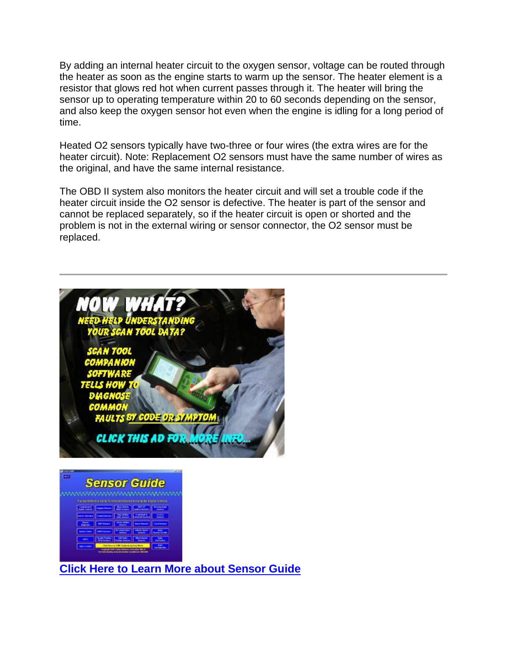By adding an internal heater circuit to the oxygen sensor, voltage can be routed through the heater as soon as the engine starts to warm up the sensor. The heater element is a resistor that glows red hot when current passes through it. The heater will bring the sensor up to operating temperature within 20 to 60 seconds depending on the sensor, and also keep the oxygen sensor hot even when the engine is idling for a long period of time.

Heated O2 sensors typically have two-three or four wires (the extra wires are for the heater circuit). Note: Replacement O2 sensors must have the same number of wires as the original, and have the same internal resistance.

The OBD II system also monitors the heater circuit and will set a trouble code if the heater circuit inside the O2 sensor is defective. The heater is part of the sensor and cannot be replaced separately, so if the heater circuit is open or shorted and the problem is not in the external wiring or sensor connector, the O2 sensor must be replaced.





**[Click Here to Learn More about Sensor Guide](http://www.aa1car.com/carleyware/index.htm)**